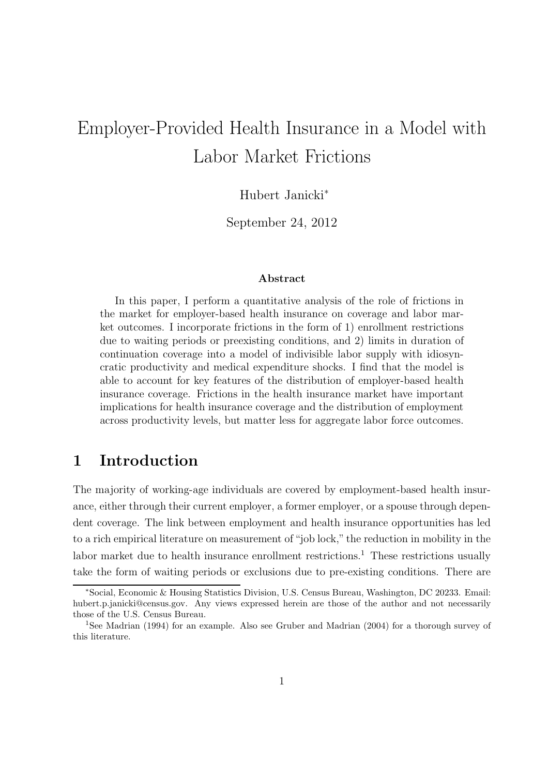# Employer-Provided Health Insurance in a Model with Labor Market Frictions

Hubert Janicki<sup>∗</sup>

September 24, 2012

#### Abstract

In this paper, I perform a quantitative analysis of the role of frictions in the market for employer-based health insurance on coverage and labor market outcomes. I incorporate frictions in the form of 1) enrollment restrictions due to waiting periods or preexisting conditions, and 2) limits in duration of continuation coverage into a model of indivisible labor supply with idiosyncratic productivity and medical expenditure shocks. I find that the model is able to account for key features of the distribution of employer-based health insurance coverage. Frictions in the health insurance market have important implications for health insurance coverage and the distribution of employment across productivity levels, but matter less for aggregate labor force outcomes.

# 1 Introduction

The majority of working-age individuals are covered by employment-based health insurance, either through their current employer, a former employer, or a spouse through dependent coverage. The link between employment and health insurance opportunities has led to a rich empirical literature on measurement of "job lock," the reduction in mobility in the labor market due to health insurance enrollment restrictions.<sup>1</sup> These restrictions usually take the form of waiting periods or exclusions due to pre-existing conditions. There are

<sup>∗</sup>Social, Economic & Housing Statistics Division, U.S. Census Bureau, Washington, DC 20233. Email: hubert.p.janicki@census.gov. Any views expressed herein are those of the author and not necessarily those of the U.S. Census Bureau.

<sup>1</sup>See Madrian (1994) for an example. Also see Gruber and Madrian (2004) for a thorough survey of this literature.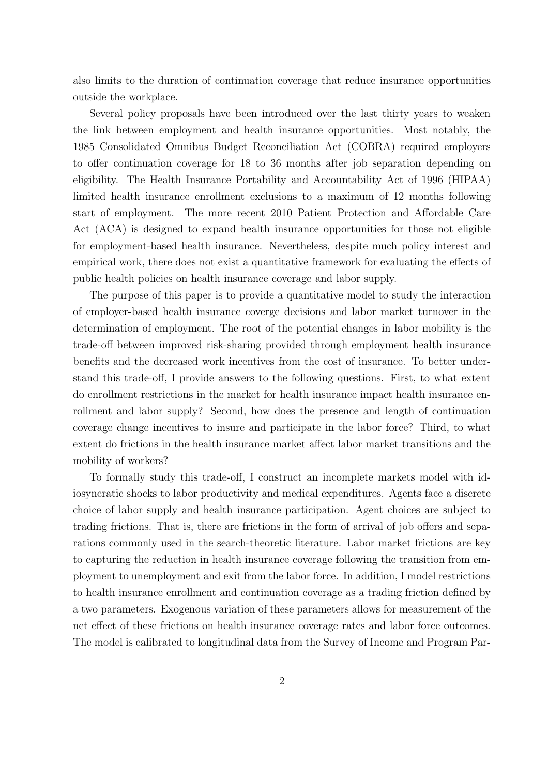also limits to the duration of continuation coverage that reduce insurance opportunities outside the workplace.

Several policy proposals have been introduced over the last thirty years to weaken the link between employment and health insurance opportunities. Most notably, the 1985 Consolidated Omnibus Budget Reconciliation Act (COBRA) required employers to offer continuation coverage for 18 to 36 months after job separation depending on eligibility. The Health Insurance Portability and Accountability Act of 1996 (HIPAA) limited health insurance enrollment exclusions to a maximum of 12 months following start of employment. The more recent 2010 Patient Protection and Affordable Care Act (ACA) is designed to expand health insurance opportunities for those not eligible for employment-based health insurance. Nevertheless, despite much policy interest and empirical work, there does not exist a quantitative framework for evaluating the effects of public health policies on health insurance coverage and labor supply.

The purpose of this paper is to provide a quantitative model to study the interaction of employer-based health insurance coverge decisions and labor market turnover in the determination of employment. The root of the potential changes in labor mobility is the trade-off between improved risk-sharing provided through employment health insurance benefits and the decreased work incentives from the cost of insurance. To better understand this trade-off, I provide answers to the following questions. First, to what extent do enrollment restrictions in the market for health insurance impact health insurance enrollment and labor supply? Second, how does the presence and length of continuation coverage change incentives to insure and participate in the labor force? Third, to what extent do frictions in the health insurance market affect labor market transitions and the mobility of workers?

To formally study this trade-off, I construct an incomplete markets model with idiosyncratic shocks to labor productivity and medical expenditures. Agents face a discrete choice of labor supply and health insurance participation. Agent choices are subject to trading frictions. That is, there are frictions in the form of arrival of job offers and separations commonly used in the search-theoretic literature. Labor market frictions are key to capturing the reduction in health insurance coverage following the transition from employment to unemployment and exit from the labor force. In addition, I model restrictions to health insurance enrollment and continuation coverage as a trading friction defined by a two parameters. Exogenous variation of these parameters allows for measurement of the net effect of these frictions on health insurance coverage rates and labor force outcomes. The model is calibrated to longitudinal data from the Survey of Income and Program Par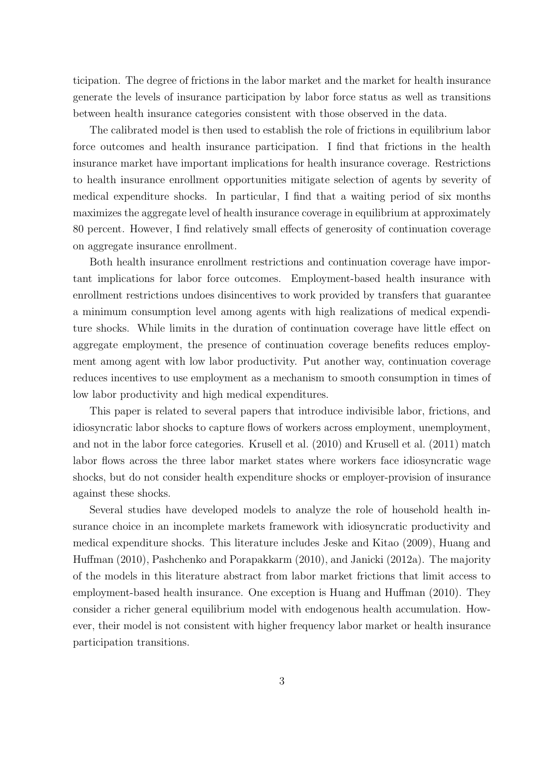ticipation. The degree of frictions in the labor market and the market for health insurance generate the levels of insurance participation by labor force status as well as transitions between health insurance categories consistent with those observed in the data.

The calibrated model is then used to establish the role of frictions in equilibrium labor force outcomes and health insurance participation. I find that frictions in the health insurance market have important implications for health insurance coverage. Restrictions to health insurance enrollment opportunities mitigate selection of agents by severity of medical expenditure shocks. In particular, I find that a waiting period of six months maximizes the aggregate level of health insurance coverage in equilibrium at approximately 80 percent. However, I find relatively small effects of generosity of continuation coverage on aggregate insurance enrollment.

Both health insurance enrollment restrictions and continuation coverage have important implications for labor force outcomes. Employment-based health insurance with enrollment restrictions undoes disincentives to work provided by transfers that guarantee a minimum consumption level among agents with high realizations of medical expenditure shocks. While limits in the duration of continuation coverage have little effect on aggregate employment, the presence of continuation coverage benefits reduces employment among agent with low labor productivity. Put another way, continuation coverage reduces incentives to use employment as a mechanism to smooth consumption in times of low labor productivity and high medical expenditures.

This paper is related to several papers that introduce indivisible labor, frictions, and idiosyncratic labor shocks to capture flows of workers across employment, unemployment, and not in the labor force categories. Krusell et al. (2010) and Krusell et al. (2011) match labor flows across the three labor market states where workers face idiosyncratic wage shocks, but do not consider health expenditure shocks or employer-provision of insurance against these shocks.

Several studies have developed models to analyze the role of household health insurance choice in an incomplete markets framework with idiosyncratic productivity and medical expenditure shocks. This literature includes Jeske and Kitao (2009), Huang and Huffman (2010), Pashchenko and Porapakkarm (2010), and Janicki (2012a). The majority of the models in this literature abstract from labor market frictions that limit access to employment-based health insurance. One exception is Huang and Huffman (2010). They consider a richer general equilibrium model with endogenous health accumulation. However, their model is not consistent with higher frequency labor market or health insurance participation transitions.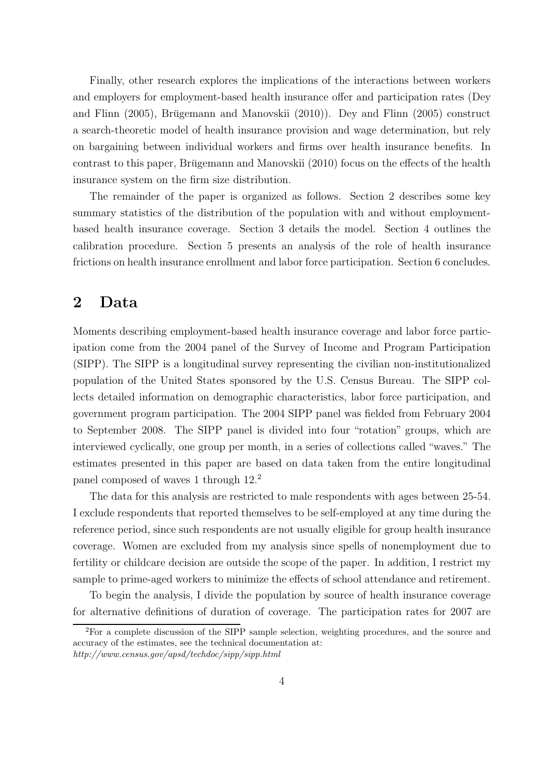Finally, other research explores the implications of the interactions between workers and employers for employment-based health insurance offer and participation rates (Dey and Flinn  $(2005)$ , Brügemann and Manovskii  $(2010)$ ). Dey and Flinn  $(2005)$  construct a search-theoretic model of health insurance provision and wage determination, but rely on bargaining between individual workers and firms over health insurance benefits. In contrast to this paper, Brügemann and Manovskii (2010) focus on the effects of the health insurance system on the firm size distribution.

The remainder of the paper is organized as follows. Section 2 describes some key summary statistics of the distribution of the population with and without employmentbased health insurance coverage. Section 3 details the model. Section 4 outlines the calibration procedure. Section 5 presents an analysis of the role of health insurance frictions on health insurance enrollment and labor force participation. Section 6 concludes.

# 2 Data

Moments describing employment-based health insurance coverage and labor force participation come from the 2004 panel of the Survey of Income and Program Participation (SIPP). The SIPP is a longitudinal survey representing the civilian non-institutionalized population of the United States sponsored by the U.S. Census Bureau. The SIPP collects detailed information on demographic characteristics, labor force participation, and government program participation. The 2004 SIPP panel was fielded from February 2004 to September 2008. The SIPP panel is divided into four "rotation" groups, which are interviewed cyclically, one group per month, in a series of collections called "waves." The estimates presented in this paper are based on data taken from the entire longitudinal panel composed of waves 1 through 12.<sup>2</sup>

The data for this analysis are restricted to male respondents with ages between 25-54. I exclude respondents that reported themselves to be self-employed at any time during the reference period, since such respondents are not usually eligible for group health insurance coverage. Women are excluded from my analysis since spells of nonemployment due to fertility or childcare decision are outside the scope of the paper. In addition, I restrict my sample to prime-aged workers to minimize the effects of school attendance and retirement.

To begin the analysis, I divide the population by source of health insurance coverage for alternative definitions of duration of coverage. The participation rates for 2007 are

<sup>&</sup>lt;sup>2</sup>For a complete discussion of the SIPP sample selection, weighting procedures, and the source and accuracy of the estimates, see the technical documentation at: *http://www.census.gov/apsd/techdoc/sipp/sipp.html*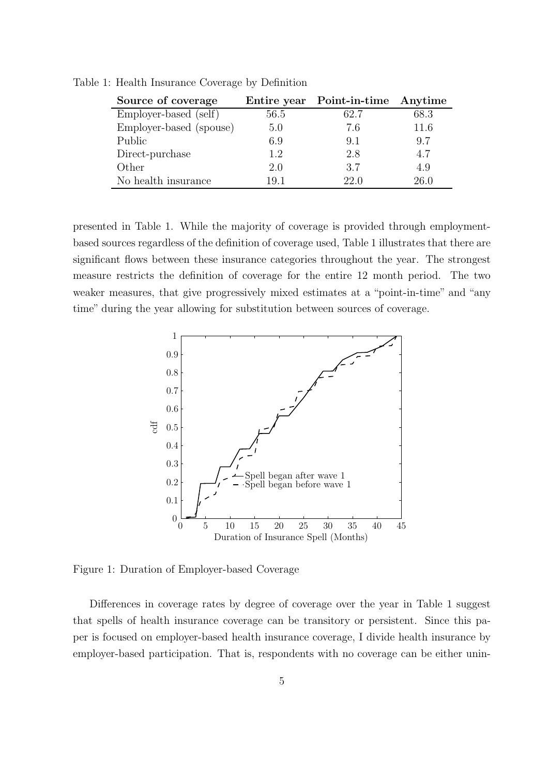| Source of coverage      |      | Entire year Point-in-time Anytime |      |
|-------------------------|------|-----------------------------------|------|
| Employer-based (self)   | 56.5 | 62.7                              | 68.3 |
| Employer-based (spouse) | 5.0  | 7.6                               | 11.6 |
| Public                  | 6.9  | 9.1                               | 9.7  |
| Direct-purchase         | 1.2  | 2.8                               | 4.7  |
| Other                   | 2.0  | 3.7                               | 4.9  |
| No health insurance     | 191  | 22.0                              | 26.0 |

Table 1: Health Insurance Coverage by Definition

presented in Table 1. While the majority of coverage is provided through employmentbased sources regardless of the definition of coverage used, Table 1 illustrates that there are significant flows between these insurance categories throughout the year. The strongest measure restricts the definition of coverage for the entire 12 month period. The two weaker measures, that give progressively mixed estimates at a "point-in-time" and "any time" during the year allowing for substitution between sources of coverage.



Figure 1: Duration of Employer-based Coverage

Differences in coverage rates by degree of coverage over the year in Table 1 suggest that spells of health insurance coverage can be transitory or persistent. Since this paper is focused on employer-based health insurance coverage, I divide health insurance by employer-based participation. That is, respondents with no coverage can be either unin-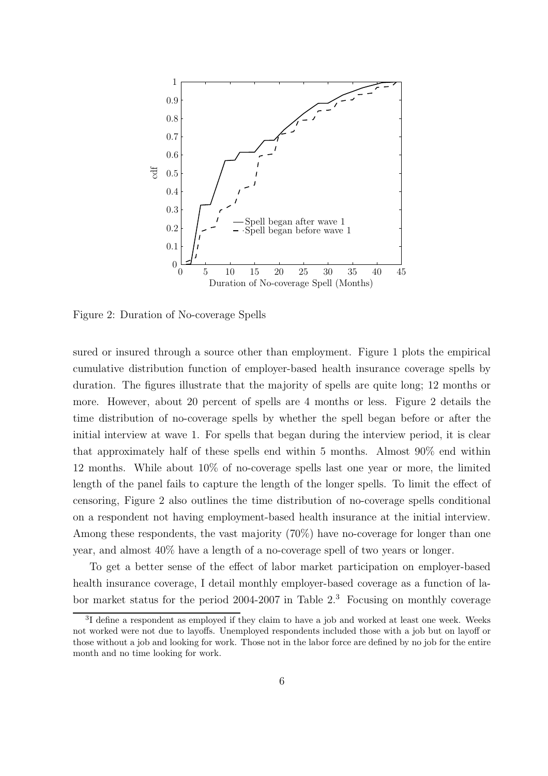

Figure 2: Duration of No-coverage Spells

sured or insured through a source other than employment. Figure 1 plots the empirical cumulative distribution function of employer-based health insurance coverage spells by duration. The figures illustrate that the majority of spells are quite long; 12 months or more. However, about 20 percent of spells are 4 months or less. Figure 2 details the time distribution of no-coverage spells by whether the spell began before or after the initial interview at wave 1. For spells that began during the interview period, it is clear that approximately half of these spells end within 5 months. Almost 90% end within 12 months. While about 10% of no-coverage spells last one year or more, the limited length of the panel fails to capture the length of the longer spells. To limit the effect of censoring, Figure 2 also outlines the time distribution of no-coverage spells conditional on a respondent not having employment-based health insurance at the initial interview. Among these respondents, the vast majority (70%) have no-coverage for longer than one year, and almost 40% have a length of a no-coverage spell of two years or longer.

To get a better sense of the effect of labor market participation on employer-based health insurance coverage, I detail monthly employer-based coverage as a function of labor market status for the period 2004-2007 in Table  $2<sup>3</sup>$  Focusing on monthly coverage

<sup>&</sup>lt;sup>3</sup>I define a respondent as employed if they claim to have a job and worked at least one week. Weeks not worked were not due to layoffs. Unemployed respondents included those with a job but on layoff or those without a job and looking for work. Those not in the labor force are defined by no job for the entire month and no time looking for work.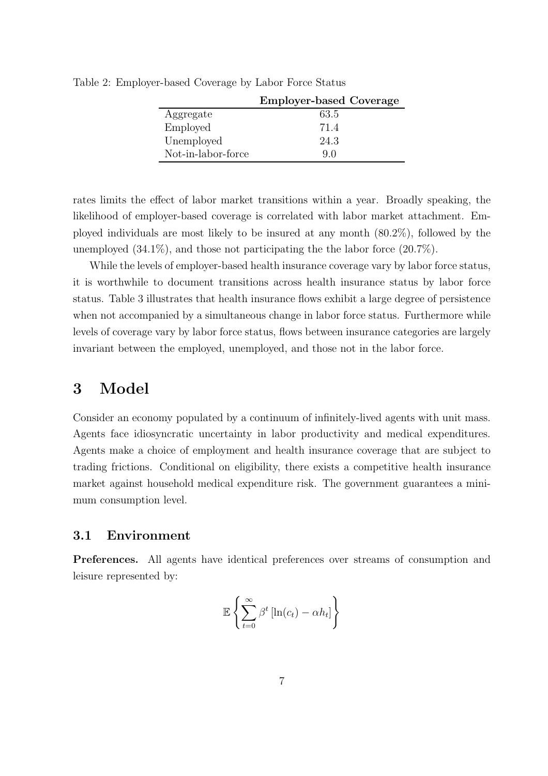|                    | <b>Employer-based Coverage</b> |
|--------------------|--------------------------------|
| Aggregate          | 63.5                           |
| Employed           | 71.4                           |
| Unemployed         | 24.3                           |
| Not-in-labor-force | 90                             |

Table 2: Employer-based Coverage by Labor Force Status

rates limits the effect of labor market transitions within a year. Broadly speaking, the likelihood of employer-based coverage is correlated with labor market attachment. Employed individuals are most likely to be insured at any month (80.2%), followed by the unemployed  $(34.1\%)$ , and those not participating the the labor force  $(20.7\%)$ .

While the levels of employer-based health insurance coverage vary by labor force status, it is worthwhile to document transitions across health insurance status by labor force status. Table 3 illustrates that health insurance flows exhibit a large degree of persistence when not accompanied by a simultaneous change in labor force status. Furthermore while levels of coverage vary by labor force status, flows between insurance categories are largely invariant between the employed, unemployed, and those not in the labor force.

### 3 Model

Consider an economy populated by a continuum of infinitely-lived agents with unit mass. Agents face idiosyncratic uncertainty in labor productivity and medical expenditures. Agents make a choice of employment and health insurance coverage that are subject to trading frictions. Conditional on eligibility, there exists a competitive health insurance market against household medical expenditure risk. The government guarantees a minimum consumption level.

### 3.1 Environment

Preferences. All agents have identical preferences over streams of consumption and leisure represented by:

$$
\mathbb{E}\left\{\sum_{t=0}^{\infty}\beta^t\left[\ln(c_t)-\alpha h_t\right]\right\}
$$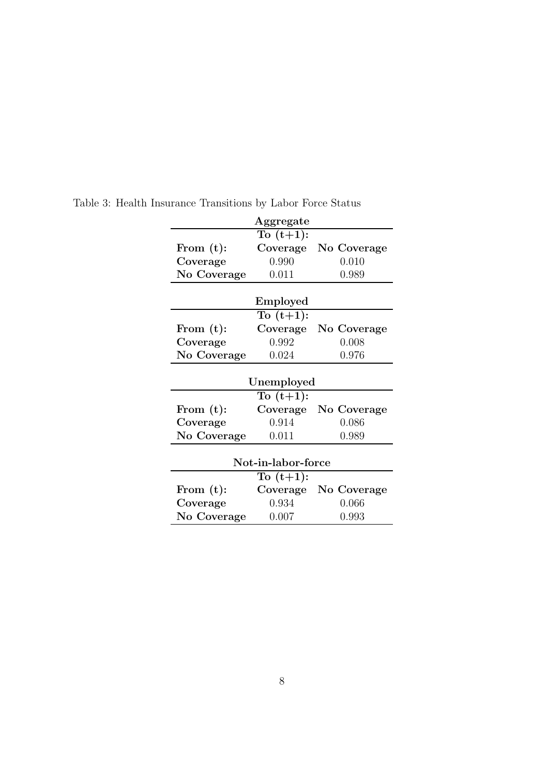|                         | Aggregate                                   |                               |
|-------------------------|---------------------------------------------|-------------------------------|
|                         | To $(t+1)$ :                                |                               |
| From $(t)$ :            | Coverage                                    | No Coverage                   |
| Coverage                | 0.990                                       | 0.010                         |
| No Coverage             | 0.011                                       | 0.989                         |
|                         | Employed                                    |                               |
|                         | To $(t+1)$ :                                |                               |
| From $(t)$ :            | Coverage                                    | No Coverage                   |
| Coverage                | 0.992                                       | 0.008                         |
| No Coverage             | 0.024                                       | 0.976                         |
|                         | Unemployed<br>$\overline{\text{To}(t+1)}$ : |                               |
| From $(t)$ :            | Coverage                                    | No Coverage                   |
|                         |                                             |                               |
| Coverage                | 0.914                                       | 0.086                         |
| No Coverage             | 0.011                                       | 0.989                         |
|                         | Not-in-labor-force                          |                               |
|                         | To $(t+1)$ :                                |                               |
| From $(t)$ :            | Coverage                                    |                               |
| Coverage<br>No Coverage | 0.934<br>0.007                              | No Coverage<br>0.066<br>0.993 |

Table 3: Health Insurance Transitions by Labor Force Status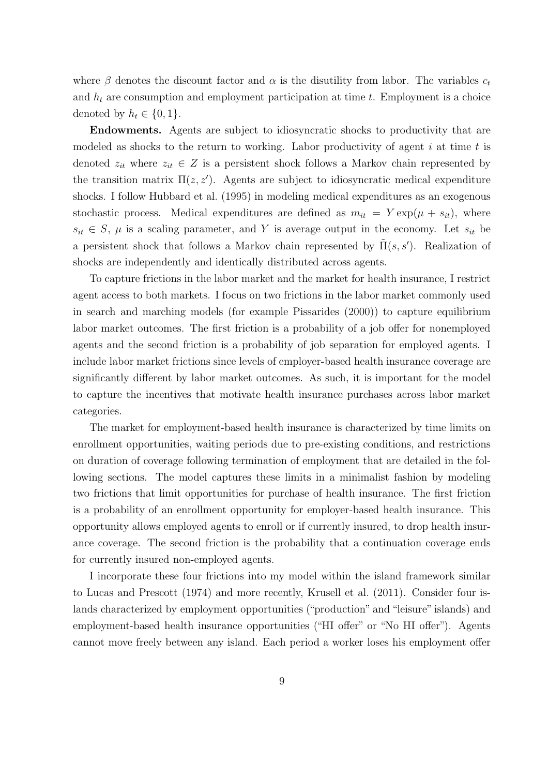where  $\beta$  denotes the discount factor and  $\alpha$  is the disutility from labor. The variables  $c_t$ and  $h_t$  are consumption and employment participation at time  $t$ . Employment is a choice denoted by  $h_t \in \{0, 1\}.$ 

Endowments. Agents are subject to idiosyncratic shocks to productivity that are modeled as shocks to the return to working. Labor productivity of agent  $i$  at time  $t$  is denoted  $z_{it}$  where  $z_{it} \in Z$  is a persistent shock follows a Markov chain represented by the transition matrix  $\Pi(z, z')$ . Agents are subject to idiosyncratic medical expenditure shocks. I follow Hubbard et al. (1995) in modeling medical expenditures as an exogenous stochastic process. Medical expenditures are defined as  $m_{it} = Y \exp(\mu + s_{it})$ , where  $s_{it} \in S$ ,  $\mu$  is a scaling parameter, and Y is average output in the economy. Let  $s_{it}$  be a persistent shock that follows a Markov chain represented by  $\tilde{\Pi}(s, s')$ . Realization of shocks are independently and identically distributed across agents.

To capture frictions in the labor market and the market for health insurance, I restrict agent access to both markets. I focus on two frictions in the labor market commonly used in search and marching models (for example Pissarides (2000)) to capture equilibrium labor market outcomes. The first friction is a probability of a job offer for nonemployed agents and the second friction is a probability of job separation for employed agents. I include labor market frictions since levels of employer-based health insurance coverage are significantly different by labor market outcomes. As such, it is important for the model to capture the incentives that motivate health insurance purchases across labor market categories.

The market for employment-based health insurance is characterized by time limits on enrollment opportunities, waiting periods due to pre-existing conditions, and restrictions on duration of coverage following termination of employment that are detailed in the following sections. The model captures these limits in a minimalist fashion by modeling two frictions that limit opportunities for purchase of health insurance. The first friction is a probability of an enrollment opportunity for employer-based health insurance. This opportunity allows employed agents to enroll or if currently insured, to drop health insurance coverage. The second friction is the probability that a continuation coverage ends for currently insured non-employed agents.

I incorporate these four frictions into my model within the island framework similar to Lucas and Prescott (1974) and more recently, Krusell et al. (2011). Consider four islands characterized by employment opportunities ("production" and "leisure" islands) and employment-based health insurance opportunities ("HI offer" or "No HI offer"). Agents cannot move freely between any island. Each period a worker loses his employment offer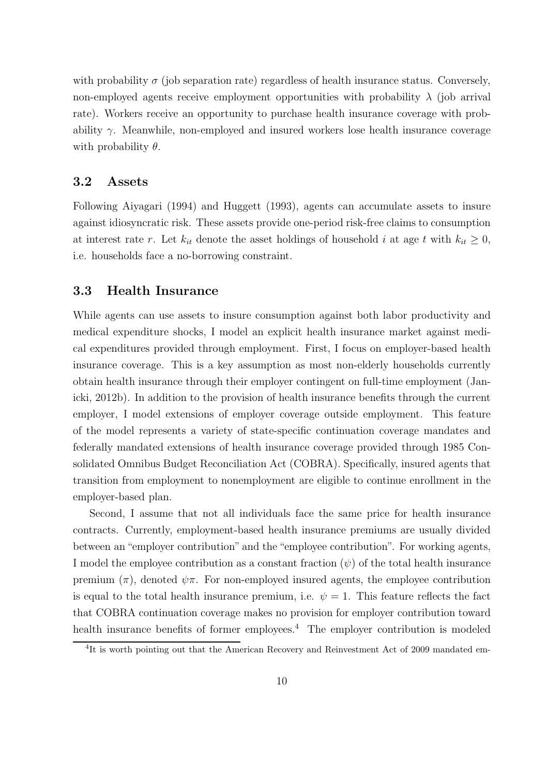with probability  $\sigma$  (job separation rate) regardless of health insurance status. Conversely, non-employed agents receive employment opportunities with probability  $\lambda$  (job arrival rate). Workers receive an opportunity to purchase health insurance coverage with probability  $\gamma$ . Meanwhile, non-employed and insured workers lose health insurance coverage with probability  $\theta$ .

### 3.2 Assets

Following Aiyagari (1994) and Huggett (1993), agents can accumulate assets to insure against idiosyncratic risk. These assets provide one-period risk-free claims to consumption at interest rate r. Let  $k_{it}$  denote the asset holdings of household i at age t with  $k_{it} \geq 0$ , i.e. households face a no-borrowing constraint.

### 3.3 Health Insurance

While agents can use assets to insure consumption against both labor productivity and medical expenditure shocks, I model an explicit health insurance market against medical expenditures provided through employment. First, I focus on employer-based health insurance coverage. This is a key assumption as most non-elderly households currently obtain health insurance through their employer contingent on full-time employment (Janicki, 2012b). In addition to the provision of health insurance benefits through the current employer, I model extensions of employer coverage outside employment. This feature of the model represents a variety of state-specific continuation coverage mandates and federally mandated extensions of health insurance coverage provided through 1985 Consolidated Omnibus Budget Reconciliation Act (COBRA). Specifically, insured agents that transition from employment to nonemployment are eligible to continue enrollment in the employer-based plan.

Second, I assume that not all individuals face the same price for health insurance contracts. Currently, employment-based health insurance premiums are usually divided between an "employer contribution" and the "employee contribution". For working agents, I model the employee contribution as a constant fraction  $(\psi)$  of the total health insurance premium  $(\pi)$ , denoted  $\psi \pi$ . For non-employed insured agents, the employee contribution is equal to the total health insurance premium, i.e.  $\psi = 1$ . This feature reflects the fact that COBRA continuation coverage makes no provision for employer contribution toward health insurance benefits of former employees.<sup>4</sup> The employer contribution is modeled

<sup>&</sup>lt;sup>4</sup>It is worth pointing out that the American Recovery and Reinvestment Act of 2009 mandated em-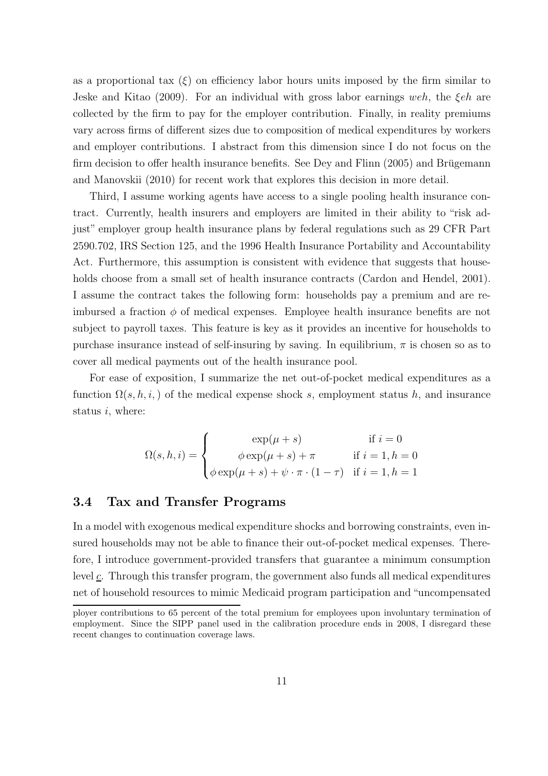as a proportional tax  $(\xi)$  on efficiency labor hours units imposed by the firm similar to Jeske and Kitao (2009). For an individual with gross labor earnings weh, the  $\mathcal{E}eh$  are collected by the firm to pay for the employer contribution. Finally, in reality premiums vary across firms of different sizes due to composition of medical expenditures by workers and employer contributions. I abstract from this dimension since I do not focus on the firm decision to offer health insurance benefits. See Dey and Flinn (2005) and Brügemann and Manovskii (2010) for recent work that explores this decision in more detail.

Third, I assume working agents have access to a single pooling health insurance contract. Currently, health insurers and employers are limited in their ability to "risk adjust" employer group health insurance plans by federal regulations such as 29 CFR Part 2590.702, IRS Section 125, and the 1996 Health Insurance Portability and Accountability Act. Furthermore, this assumption is consistent with evidence that suggests that households choose from a small set of health insurance contracts (Cardon and Hendel, 2001). I assume the contract takes the following form: households pay a premium and are reimbursed a fraction  $\phi$  of medical expenses. Employee health insurance benefits are not subject to payroll taxes. This feature is key as it provides an incentive for households to purchase insurance instead of self-insuring by saving. In equilibrium,  $\pi$  is chosen so as to cover all medical payments out of the health insurance pool.

For ease of exposition, I summarize the net out-of-pocket medical expenditures as a function  $\Omega(s, h, i)$  of the medical expense shock s, employment status h, and insurance status *i*, where:

$$
\Omega(s, h, i) = \begin{cases}\n\exp(\mu + s) & \text{if } i = 0 \\
\phi \exp(\mu + s) + \pi & \text{if } i = 1, h = 0 \\
\phi \exp(\mu + s) + \psi \cdot \pi \cdot (1 - \tau) & \text{if } i = 1, h = 1\n\end{cases}
$$

#### 3.4 Tax and Transfer Programs

In a model with exogenous medical expenditure shocks and borrowing constraints, even insured households may not be able to finance their out-of-pocket medical expenses. Therefore, I introduce government-provided transfers that guarantee a minimum consumption level c. Through this transfer program, the government also funds all medical expenditures net of household resources to mimic Medicaid program participation and "uncompensated

ployer contributions to 65 percent of the total premium for employees upon involuntary termination of employment. Since the SIPP panel used in the calibration procedure ends in 2008, I disregard these recent changes to continuation coverage laws.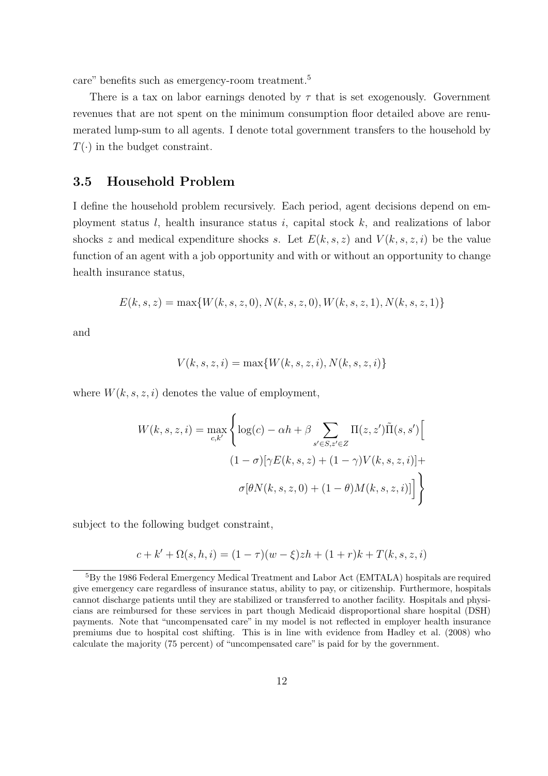care" benefits such as emergency-room treatment.<sup>5</sup>

There is a tax on labor earnings denoted by  $\tau$  that is set exogenously. Government revenues that are not spent on the minimum consumption floor detailed above are renumerated lump-sum to all agents. I denote total government transfers to the household by  $T(\cdot)$  in the budget constraint.

### 3.5 Household Problem

I define the household problem recursively. Each period, agent decisions depend on employment status  $l$ , health insurance status  $i$ , capital stock  $k$ , and realizations of labor shocks z and medical expenditure shocks s. Let  $E(k, s, z)$  and  $V(k, s, z, i)$  be the value function of an agent with a job opportunity and with or without an opportunity to change health insurance status,

$$
E(k, s, z) = \max\{W(k, s, z, 0), N(k, s, z, 0), W(k, s, z, 1), N(k, s, z, 1)\}
$$

and

$$
V(k, s, z, i) = \max\{W(k, s, z, i), N(k, s, z, i)\}\
$$

where  $W(k, s, z, i)$  denotes the value of employment,

$$
W(k, s, z, i) = \max_{c,k'} \left\{ \log(c) - \alpha h + \beta \sum_{s' \in S, z' \in Z} \Pi(z, z') \tilde{\Pi}(s, s') \Big[
$$

$$
(1 - \sigma) [\gamma E(k, s, z) + (1 - \gamma) V(k, s, z, i)] +
$$

$$
\sigma[\theta N(k, s, z, 0) + (1 - \theta) M(k, s, z, i)] \right\}
$$

subject to the following budget constraint,

$$
c + k' + \Omega(s, h, i) = (1 - \tau)(w - \xi)zh + (1 + r)k + T(k, s, z, i)
$$

<sup>5</sup>By the 1986 Federal Emergency Medical Treatment and Labor Act (EMTALA) hospitals are required give emergency care regardless of insurance status, ability to pay, or citizenship. Furthermore, hospitals cannot discharge patients until they are stabilized or transferred to another facility. Hospitals and physicians are reimbursed for these services in part though Medicaid disproportional share hospital (DSH) payments. Note that "uncompensated care" in my model is not reflected in employer health insurance premiums due to hospital cost shifting. This is in line with evidence from Hadley et al. (2008) who calculate the majority (75 percent) of "uncompensated care" is paid for by the government.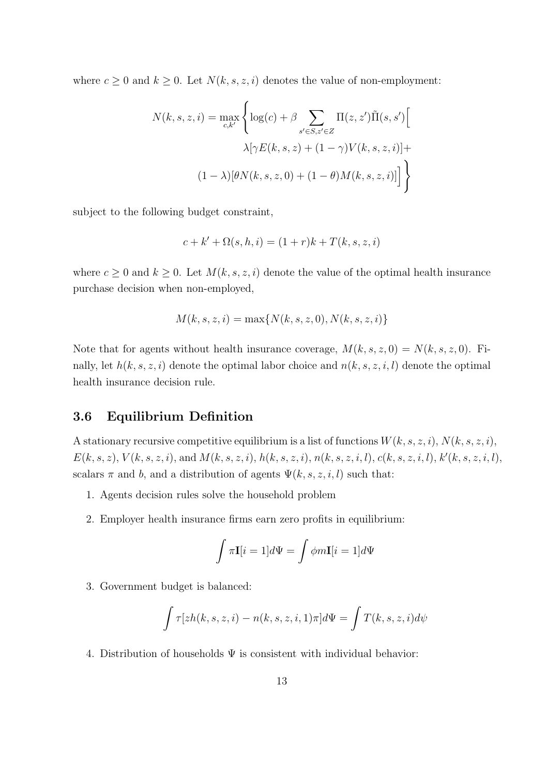where  $c \geq 0$  and  $k \geq 0$ . Let  $N(k, s, z, i)$  denotes the value of non-employment:

$$
N(k, s, z, i) = \max_{c, k'} \left\{ \log(c) + \beta \sum_{s' \in S, z' \in Z} \Pi(z, z') \tilde{\Pi}(s, s') \Big[ \lambda \left[ \gamma E(k, s, z) + (1 - \gamma) V(k, s, z, i) \right] + (1 - \lambda) [\theta N(k, s, z, 0) + (1 - \theta) M(k, s, z, i)] \right\}
$$

subject to the following budget constraint,

$$
c + k' + \Omega(s, h, i) = (1 + r)k + T(k, s, z, i)
$$

where  $c \geq 0$  and  $k \geq 0$ . Let  $M(k, s, z, i)$  denote the value of the optimal health insurance purchase decision when non-employed,

$$
M(k, s, z, i) = \max\{N(k, s, z, 0), N(k, s, z, i)\}
$$

Note that for agents without health insurance coverage,  $M(k, s, z, 0) = N(k, s, z, 0)$ . Finally, let  $h(k, s, z, i)$  denote the optimal labor choice and  $n(k, s, z, i, l)$  denote the optimal health insurance decision rule.

### 3.6 Equilibrium Definition

A stationary recursive competitive equilibrium is a list of functions  $W(k, s, z, i)$ ,  $N(k, s, z, i)$ ,  $E(k, s, z), V(k, s, z, i),$  and  $M(k, s, z, i), h(k, s, z, i), n(k, s, z, i, l), c(k, s, z, i, l), k'(k, s, z, i, l),$ scalars  $\pi$  and b, and a distribution of agents  $\Psi(k, s, z, i, l)$  such that:

- 1. Agents decision rules solve the household problem
- 2. Employer health insurance firms earn zero profits in equilibrium:

$$
\int \pi \mathbf{I}[i=1]d\Psi = \int \phi m \mathbf{I}[i=1]d\Psi
$$

3. Government budget is balanced:

$$
\int \tau[zh(k,s,z,i) - n(k,s,z,i,1)\pi]d\Psi = \int T(k,s,z,i)d\psi
$$

4. Distribution of households  $\Psi$  is consistent with individual behavior: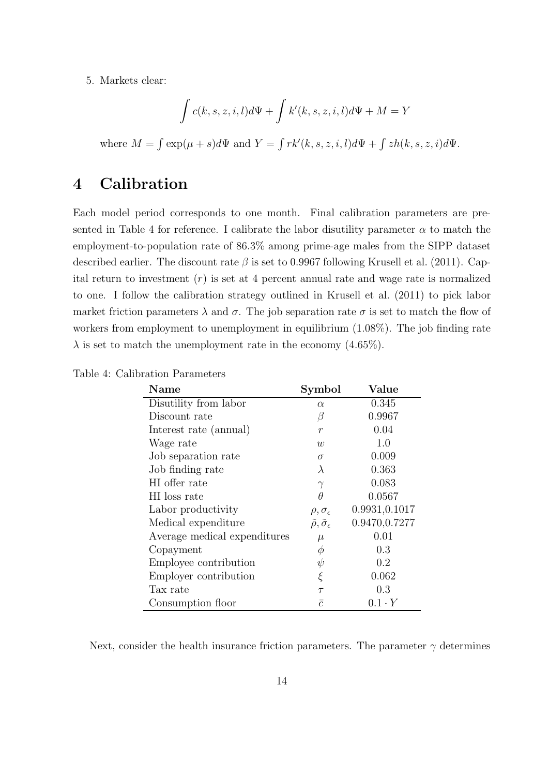5. Markets clear:

$$
\int c(k, s, z, i, l)d\Psi + \int k'(k, s, z, i, l)d\Psi + M = Y
$$

where  $M = \int \exp(\mu + s) d\Psi$  and  $Y = \int r k'(k, s, z, i, l) d\Psi + \int z h(k, s, z, i) d\Psi$ .

# 4 Calibration

Each model period corresponds to one month. Final calibration parameters are presented in Table 4 for reference. I calibrate the labor disutility parameter  $\alpha$  to match the employment-to-population rate of 86.3% among prime-age males from the SIPP dataset described earlier. The discount rate  $\beta$  is set to 0.9967 following Krusell et al. (2011). Capital return to investment  $(r)$  is set at 4 percent annual rate and wage rate is normalized to one. I follow the calibration strategy outlined in Krusell et al. (2011) to pick labor market friction parameters  $\lambda$  and  $\sigma$ . The job separation rate  $\sigma$  is set to match the flow of workers from employment to unemployment in equilibrium (1.08%). The job finding rate  $\lambda$  is set to match the unemployment rate in the economy (4.65%).

| Name                         | Symbol                                    | Value         |
|------------------------------|-------------------------------------------|---------------|
| Disutility from labor        | $\alpha$                                  | 0.345         |
| Discount rate                | β                                         | 0.9967        |
| Interest rate (annual)       | $\boldsymbol{r}$                          | 0.04          |
| Wage rate                    | w                                         | 1.0           |
| Job separation rate          | $\sigma$                                  | 0.009         |
| Job finding rate             | $\lambda$                                 | 0.363         |
| HI offer rate                | $\gamma$                                  | 0.083         |
| HI loss rate                 | θ                                         | 0.0567        |
| Labor productivity           | $\rho, \sigma_{\epsilon}$                 | 0.9931,0.1017 |
| Medical expenditure          | $\tilde{\rho}, \tilde{\sigma}_{\epsilon}$ | 0.9470,0.7277 |
| Average medical expenditures | $\mu$                                     | 0.01          |
| Copayment                    | Ф                                         | 0.3           |
| Employee contribution        | $\psi$                                    | 0.2           |
| Employer contribution        | ξ                                         | 0.062         |
| Tax rate                     | $\tau$                                    | 0.3           |
| Consumption floor            | $\bar{c}$                                 | $0.1 \cdot Y$ |

Table 4: Calibration Parameters

Next, consider the health insurance friction parameters. The parameter  $\gamma$  determines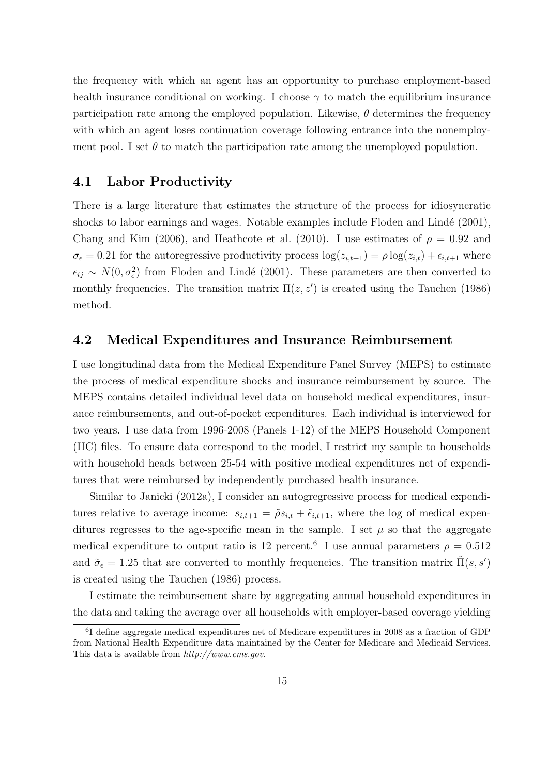the frequency with which an agent has an opportunity to purchase employment-based health insurance conditional on working. I choose  $\gamma$  to match the equilibrium insurance participation rate among the employed population. Likewise,  $\theta$  determines the frequency with which an agent loses continuation coverage following entrance into the nonemployment pool. I set  $\theta$  to match the participation rate among the unemployed population.

### 4.1 Labor Productivity

There is a large literature that estimates the structure of the process for idiosyncratic shocks to labor earnings and wages. Notable examples include Floden and Lindé  $(2001)$ , Chang and Kim (2006), and Heathcote et al. (2010). I use estimates of  $\rho = 0.92$  and  $\sigma_{\epsilon} = 0.21$  for the autoregressive productivity process  $\log(z_{i,t+1}) = \rho \log(z_{i,t}) + \epsilon_{i,t+1}$  where  $\epsilon_{ij} \sim N(0, \sigma_{\epsilon}^2)$  from Floden and Lindé (2001). These parameters are then converted to monthly frequencies. The transition matrix  $\Pi(z, z')$  is created using the Tauchen (1986) method.

### 4.2 Medical Expenditures and Insurance Reimbursement

I use longitudinal data from the Medical Expenditure Panel Survey (MEPS) to estimate the process of medical expenditure shocks and insurance reimbursement by source. The MEPS contains detailed individual level data on household medical expenditures, insurance reimbursements, and out-of-pocket expenditures. Each individual is interviewed for two years. I use data from 1996-2008 (Panels 1-12) of the MEPS Household Component (HC) files. To ensure data correspond to the model, I restrict my sample to households with household heads between 25-54 with positive medical expenditures net of expenditures that were reimbursed by independently purchased health insurance.

Similar to Janicki (2012a), I consider an autogregressive process for medical expenditures relative to average income:  $s_{i,t+1} = \tilde{\rho}s_{i,t} + \tilde{\epsilon}_{i,t+1}$ , where the log of medical expenditures regresses to the age-specific mean in the sample. I set  $\mu$  so that the aggregate medical expenditure to output ratio is 12 percent.<sup>6</sup> I use annual parameters  $\rho = 0.512$ and  $\tilde{\sigma}_{\epsilon} = 1.25$  that are converted to monthly frequencies. The transition matrix  $\tilde{\Pi}(s, s')$ is created using the Tauchen (1986) process.

I estimate the reimbursement share by aggregating annual household expenditures in the data and taking the average over all households with employer-based coverage yielding

<sup>&</sup>lt;sup>6</sup>I define aggregate medical expenditures net of Medicare expenditures in 2008 as a fraction of GDP from National Health Expenditure data maintained by the Center for Medicare and Medicaid Services. This data is available from *http://www.cms.gov*.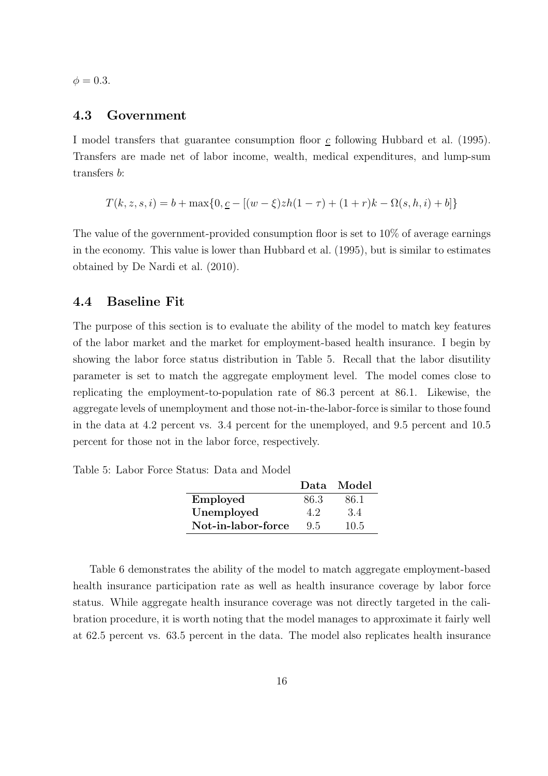$\phi = 0.3$ .

### 4.3 Government

I model transfers that guarantee consumption floor c following Hubbard et al. (1995). Transfers are made net of labor income, wealth, medical expenditures, and lump-sum transfers b:

$$
T(k, z, s, i) = b + \max\{0, \underline{c} - [(w - \xi)zh(1 - \tau) + (1 + r)k - \Omega(s, h, i) + b]\}
$$

The value of the government-provided consumption floor is set to 10\% of average earnings in the economy. This value is lower than Hubbard et al. (1995), but is similar to estimates obtained by De Nardi et al. (2010).

### 4.4 Baseline Fit

The purpose of this section is to evaluate the ability of the model to match key features of the labor market and the market for employment-based health insurance. I begin by showing the labor force status distribution in Table 5. Recall that the labor disutility parameter is set to match the aggregate employment level. The model comes close to replicating the employment-to-population rate of 86.3 percent at 86.1. Likewise, the aggregate levels of unemployment and those not-in-the-labor-force is similar to those found in the data at 4.2 percent vs. 3.4 percent for the unemployed, and 9.5 percent and 10.5 percent for those not in the labor force, respectively.

Table 5: Labor Force Status: Data and Model

|                    |      | Data Model |
|--------------------|------|------------|
| Employed           | 86.3 | 86.1       |
| Unemployed         | 4.2  | 3.4        |
| Not-in-labor-force | 9.5  | 10.5       |

Table 6 demonstrates the ability of the model to match aggregate employment-based health insurance participation rate as well as health insurance coverage by labor force status. While aggregate health insurance coverage was not directly targeted in the calibration procedure, it is worth noting that the model manages to approximate it fairly well at 62.5 percent vs. 63.5 percent in the data. The model also replicates health insurance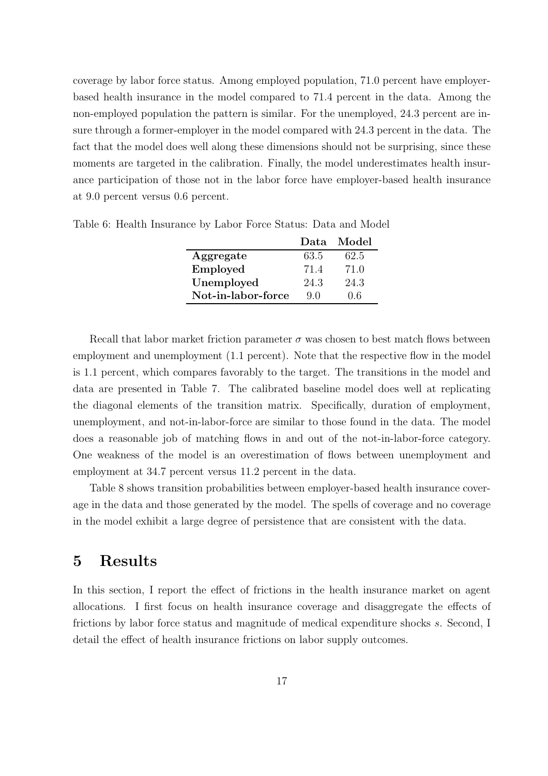coverage by labor force status. Among employed population, 71.0 percent have employerbased health insurance in the model compared to 71.4 percent in the data. Among the non-employed population the pattern is similar. For the unemployed, 24.3 percent are insure through a former-employer in the model compared with 24.3 percent in the data. The fact that the model does well along these dimensions should not be surprising, since these moments are targeted in the calibration. Finally, the model underestimates health insurance participation of those not in the labor force have employer-based health insurance at 9.0 percent versus 0.6 percent.

|                    |      | Data Model |
|--------------------|------|------------|
| Aggregate          | 63.5 | 62.5       |
| Employed           | 71.4 | 71.0       |
| Unemployed         | 24.3 | 24.3       |
| Not-in-labor-force | 90   | 0.6        |

Table 6: Health Insurance by Labor Force Status: Data and Model

Recall that labor market friction parameter  $\sigma$  was chosen to best match flows between employment and unemployment  $(1.1$  percent). Note that the respective flow in the model is 1.1 percent, which compares favorably to the target. The transitions in the model and data are presented in Table 7. The calibrated baseline model does well at replicating the diagonal elements of the transition matrix. Specifically, duration of employment, unemployment, and not-in-labor-force are similar to those found in the data. The model does a reasonable job of matching flows in and out of the not-in-labor-force category. One weakness of the model is an overestimation of flows between unemployment and employment at 34.7 percent versus 11.2 percent in the data.

Table 8 shows transition probabilities between employer-based health insurance coverage in the data and those generated by the model. The spells of coverage and no coverage in the model exhibit a large degree of persistence that are consistent with the data.

# 5 Results

In this section, I report the effect of frictions in the health insurance market on agent allocations. I first focus on health insurance coverage and disaggregate the effects of frictions by labor force status and magnitude of medical expenditure shocks s. Second, I detail the effect of health insurance frictions on labor supply outcomes.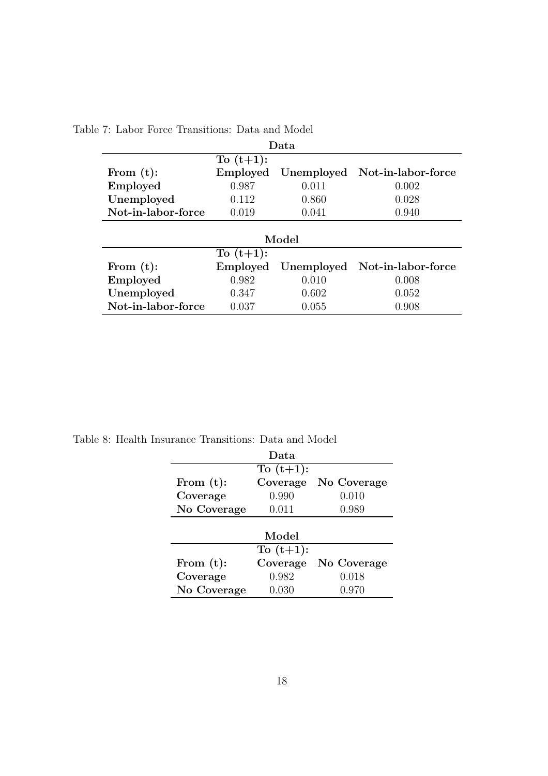| Data               |          |            |                               |  |  |
|--------------------|----------|------------|-------------------------------|--|--|
| To $(t+1)$ :       |          |            |                               |  |  |
| From $(t)$ :       | Employed |            | Unemployed Not-in-labor-force |  |  |
| Employed           | 0.987    | 0.011      | 0.002                         |  |  |
| Unemployed         | 0.112    | 0.860      | 0.028                         |  |  |
| Not-in-labor-force | 0.019    | 0.041      | 0.940                         |  |  |
|                    |          |            |                               |  |  |
|                    |          | Model      |                               |  |  |
| To $(t+1)$ :       |          |            |                               |  |  |
| From $(t)$ :       | Employed | Unemployed | Not-in-labor-force            |  |  |
| Employed           | 0.982    | 0.010      | 0.008                         |  |  |
| Unemployed         | 0.347    | 0.602      | 0.052                         |  |  |
| Not-in-labor-force | 0.037    | 0.055      | 0.908                         |  |  |

Table 7: Labor Force Transitions: Data and Model

Table 8: Health Insurance Transitions: Data and Model

|              | Data         |             |  |  |
|--------------|--------------|-------------|--|--|
| To $(t+1)$ : |              |             |  |  |
| From $(t)$ : | Coverage     | No Coverage |  |  |
| Coverage     | 0.990        | 0.010       |  |  |
| No Coverage  | 0.011        | 0.989       |  |  |
|              |              |             |  |  |
| Model        |              |             |  |  |
|              | To $(t+1)$ : |             |  |  |
| From $(t)$ : | Coverage     | No Coverage |  |  |
| Coverage     | 0.982        | 0.018       |  |  |
| No Coverage  | 0.030        | 0.970       |  |  |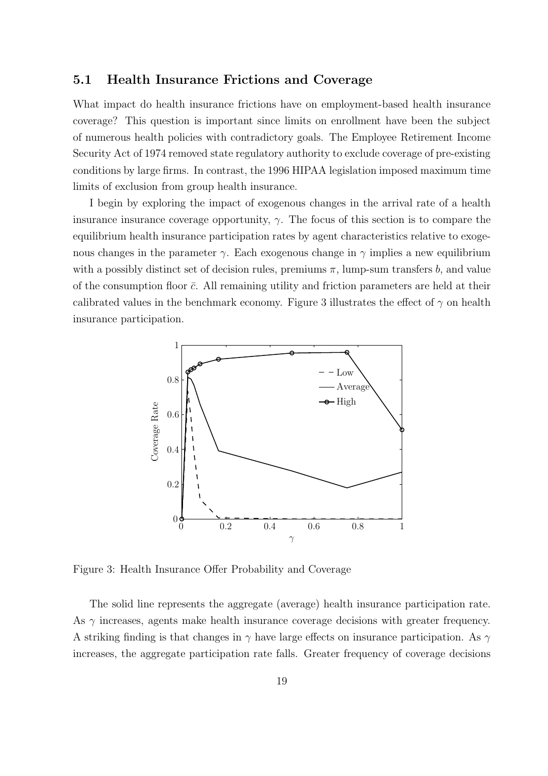### 5.1 Health Insurance Frictions and Coverage

What impact do health insurance frictions have on employment-based health insurance coverage? This question is important since limits on enrollment have been the subject of numerous health policies with contradictory goals. The Employee Retirement Income Security Act of 1974 removed state regulatory authority to exclude coverage of pre-existing conditions by large firms. In contrast, the 1996 HIPAA legislation imposed maximum time limits of exclusion from group health insurance.

I begin by exploring the impact of exogenous changes in the arrival rate of a health insurance insurance coverage opportunity,  $\gamma$ . The focus of this section is to compare the equilibrium health insurance participation rates by agent characteristics relative to exogenous changes in the parameter  $\gamma$ . Each exogenous change in  $\gamma$  implies a new equilibrium with a possibly distinct set of decision rules, premiums  $\pi$ , lump-sum transfers b, and value of the consumption floor  $\bar{c}$ . All remaining utility and friction parameters are held at their calibrated values in the benchmark economy. Figure 3 illustrates the effect of  $\gamma$  on health insurance participation.



Figure 3: Health Insurance Offer Probability and Coverage

The solid line represents the aggregate (average) health insurance participation rate. As  $\gamma$  increases, agents make health insurance coverage decisions with greater frequency. A striking finding is that changes in  $\gamma$  have large effects on insurance participation. As  $\gamma$ increases, the aggregate participation rate falls. Greater frequency of coverage decisions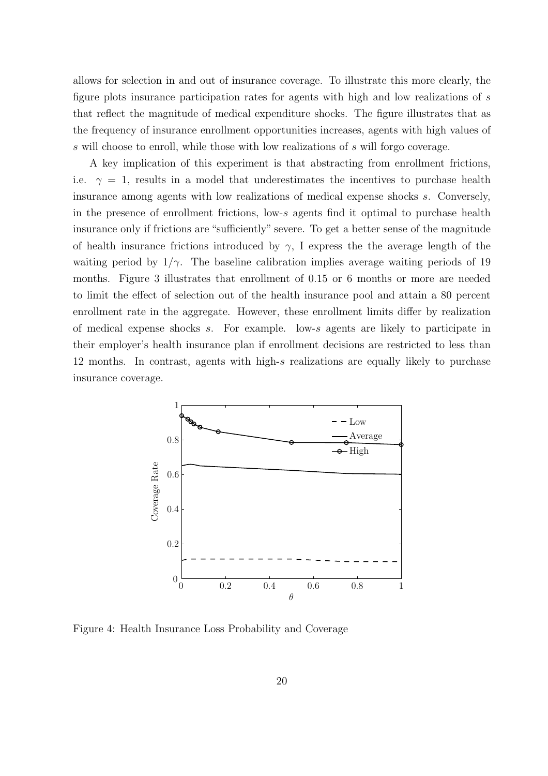allows for selection in and out of insurance coverage. To illustrate this more clearly, the figure plots insurance participation rates for agents with high and low realizations of s that reflect the magnitude of medical expenditure shocks. The figure illustrates that as the frequency of insurance enrollment opportunities increases, agents with high values of s will choose to enroll, while those with low realizations of s will forgo coverage.

A key implication of this experiment is that abstracting from enrollment frictions, i.e.  $\gamma = 1$ , results in a model that underestimates the incentives to purchase health insurance among agents with low realizations of medical expense shocks s. Conversely, in the presence of enrollment frictions, low-s agents find it optimal to purchase health insurance only if frictions are "sufficiently" severe. To get a better sense of the magnitude of health insurance frictions introduced by  $\gamma$ , I express the the average length of the waiting period by  $1/\gamma$ . The baseline calibration implies average waiting periods of 19 months. Figure 3 illustrates that enrollment of 0.15 or 6 months or more are needed to limit the effect of selection out of the health insurance pool and attain a 80 percent enrollment rate in the aggregate. However, these enrollment limits differ by realization of medical expense shocks s. For example. low-s agents are likely to participate in their employer's health insurance plan if enrollment decisions are restricted to less than 12 months. In contrast, agents with high-s realizations are equally likely to purchase insurance coverage.



Figure 4: Health Insurance Loss Probability and Coverage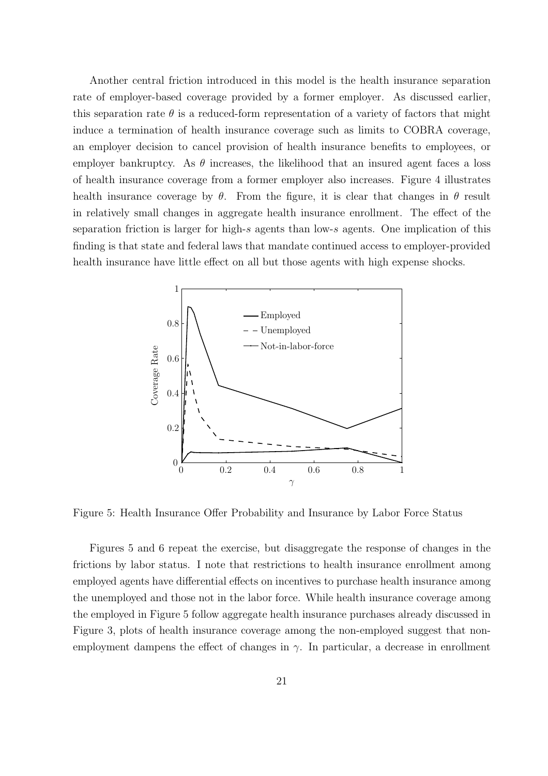Another central friction introduced in this model is the health insurance separation rate of employer-based coverage provided by a former employer. As discussed earlier, this separation rate  $\theta$  is a reduced-form representation of a variety of factors that might induce a termination of health insurance coverage such as limits to COBRA coverage, an employer decision to cancel provision of health insurance benefits to employees, or employer bankruptcy. As  $\theta$  increases, the likelihood that an insured agent faces a loss of health insurance coverage from a former employer also increases. Figure 4 illustrates health insurance coverage by  $\theta$ . From the figure, it is clear that changes in  $\theta$  result in relatively small changes in aggregate health insurance enrollment. The effect of the separation friction is larger for high-s agents than low-s agents. One implication of this finding is that state and federal laws that mandate continued access to employer-provided health insurance have little effect on all but those agents with high expense shocks.



Figure 5: Health Insurance Offer Probability and Insurance by Labor Force Status

Figures 5 and 6 repeat the exercise, but disaggregate the response of changes in the frictions by labor status. I note that restrictions to health insurance enrollment among employed agents have differential effects on incentives to purchase health insurance among the unemployed and those not in the labor force. While health insurance coverage among the employed in Figure 5 follow aggregate health insurance purchases already discussed in Figure 3, plots of health insurance coverage among the non-employed suggest that nonemployment dampens the effect of changes in  $\gamma$ . In particular, a decrease in enrollment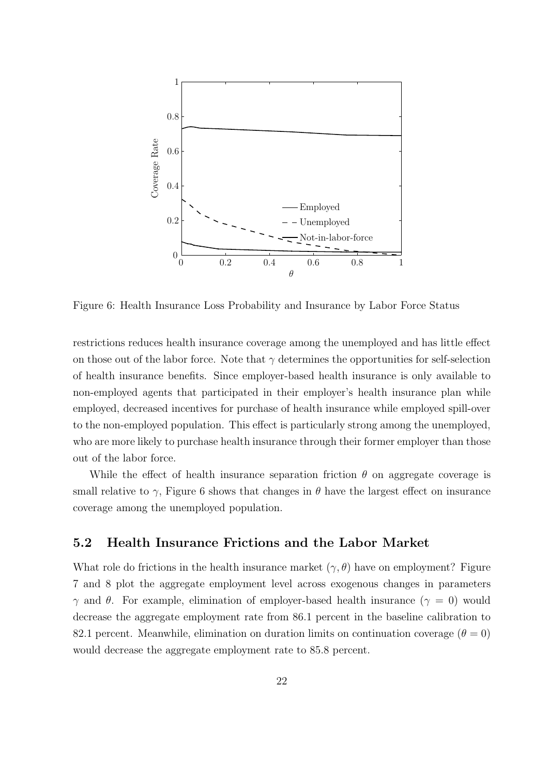

Figure 6: Health Insurance Loss Probability and Insurance by Labor Force Status

restrictions reduces health insurance coverage among the unemployed and has little effect on those out of the labor force. Note that  $\gamma$  determines the opportunities for self-selection of health insurance benefits. Since employer-based health insurance is only available to non-employed agents that participated in their employer's health insurance plan while employed, decreased incentives for purchase of health insurance while employed spill-over to the non-employed population. This effect is particularly strong among the unemployed, who are more likely to purchase health insurance through their former employer than those out of the labor force.

While the effect of health insurance separation friction  $\theta$  on aggregate coverage is small relative to  $\gamma$ , Figure 6 shows that changes in  $\theta$  have the largest effect on insurance coverage among the unemployed population.

### 5.2 Health Insurance Frictions and the Labor Market

What role do frictions in the health insurance market  $(\gamma, \theta)$  have on employment? Figure 7 and 8 plot the aggregate employment level across exogenous changes in parameters  $\gamma$  and  $\theta$ . For example, elimination of employer-based health insurance ( $\gamma = 0$ ) would decrease the aggregate employment rate from 86.1 percent in the baseline calibration to 82.1 percent. Meanwhile, elimination on duration limits on continuation coverage  $(\theta = 0)$ would decrease the aggregate employment rate to 85.8 percent.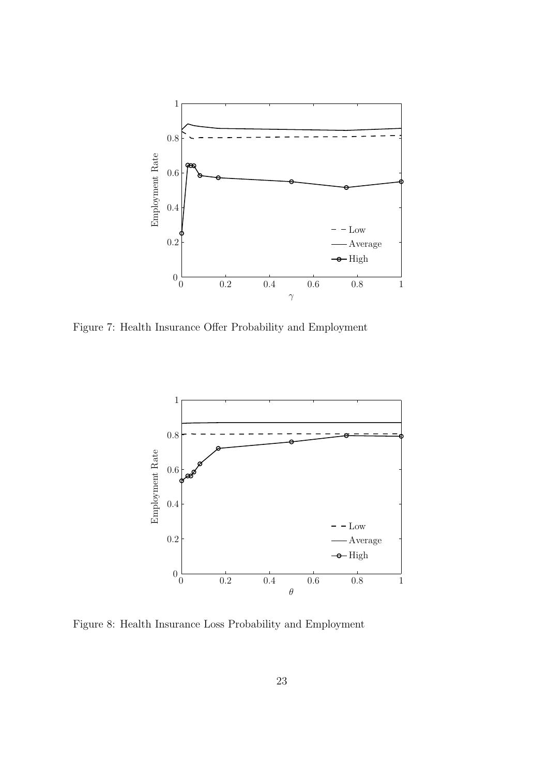

Figure 7: Health Insurance Offer Probability and Employment



Figure 8: Health Insurance Loss Probability and Employment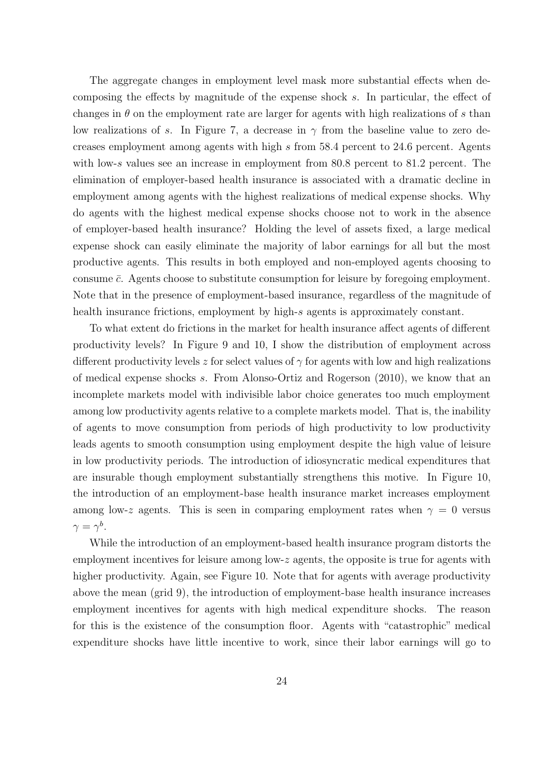The aggregate changes in employment level mask more substantial effects when decomposing the effects by magnitude of the expense shock s. In particular, the effect of changes in  $\theta$  on the employment rate are larger for agents with high realizations of s than low realizations of s. In Figure 7, a decrease in  $\gamma$  from the baseline value to zero decreases employment among agents with high s from 58.4 percent to 24.6 percent. Agents with low-s values see an increase in employment from 80.8 percent to 81.2 percent. The elimination of employer-based health insurance is associated with a dramatic decline in employment among agents with the highest realizations of medical expense shocks. Why do agents with the highest medical expense shocks choose not to work in the absence of employer-based health insurance? Holding the level of assets fixed, a large medical expense shock can easily eliminate the majority of labor earnings for all but the most productive agents. This results in both employed and non-employed agents choosing to consume  $\bar{c}$ . Agents choose to substitute consumption for leisure by foregoing employment. Note that in the presence of employment-based insurance, regardless of the magnitude of health insurance frictions, employment by high-s agents is approximately constant.

To what extent do frictions in the market for health insurance affect agents of different productivity levels? In Figure 9 and 10, I show the distribution of employment across different productivity levels z for select values of  $\gamma$  for agents with low and high realizations of medical expense shocks s. From Alonso-Ortiz and Rogerson (2010), we know that an incomplete markets model with indivisible labor choice generates too much employment among low productivity agents relative to a complete markets model. That is, the inability of agents to move consumption from periods of high productivity to low productivity leads agents to smooth consumption using employment despite the high value of leisure in low productivity periods. The introduction of idiosyncratic medical expenditures that are insurable though employment substantially strengthens this motive. In Figure 10, the introduction of an employment-base health insurance market increases employment among low-z agents. This is seen in comparing employment rates when  $\gamma = 0$  versus  $\gamma=\gamma^b.$ 

While the introduction of an employment-based health insurance program distorts the employment incentives for leisure among low-z agents, the opposite is true for agents with higher productivity. Again, see Figure 10. Note that for agents with average productivity above the mean (grid 9), the introduction of employment-base health insurance increases employment incentives for agents with high medical expenditure shocks. The reason for this is the existence of the consumption floor. Agents with "catastrophic" medical expenditure shocks have little incentive to work, since their labor earnings will go to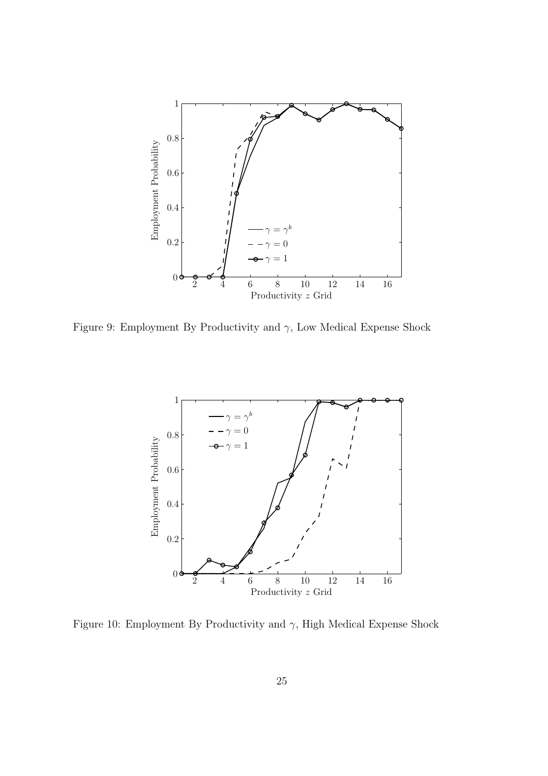

Figure 9: Employment By Productivity and  $\gamma$ , Low Medical Expense Shock



Figure 10: Employment By Productivity and  $\gamma$ , High Medical Expense Shock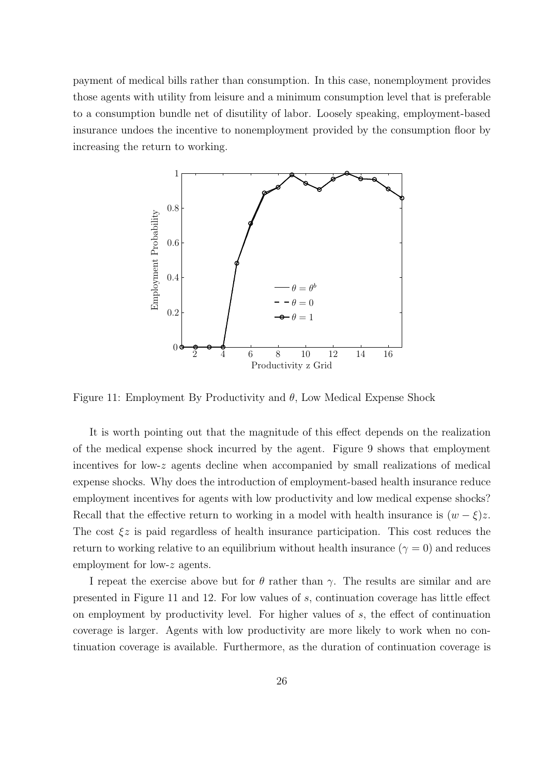payment of medical bills rather than consumption. In this case, nonemployment provides those agents with utility from leisure and a minimum consumption level that is preferable to a consumption bundle net of disutility of labor. Loosely speaking, employment-based insurance undoes the incentive to nonemployment provided by the consumption floor by increasing the return to working.



Figure 11: Employment By Productivity and  $\theta$ , Low Medical Expense Shock

It is worth pointing out that the magnitude of this effect depends on the realization of the medical expense shock incurred by the agent. Figure 9 shows that employment incentives for low-z agents decline when accompanied by small realizations of medical expense shocks. Why does the introduction of employment-based health insurance reduce employment incentives for agents with low productivity and low medical expense shocks? Recall that the effective return to working in a model with health insurance is  $(w - \xi)z$ . The cost  $\xi z$  is paid regardless of health insurance participation. This cost reduces the return to working relative to an equilibrium without health insurance  $(\gamma = 0)$  and reduces employment for low-z agents.

I repeat the exercise above but for  $\theta$  rather than  $\gamma$ . The results are similar and are presented in Figure 11 and 12. For low values of s, continuation coverage has little effect on employment by productivity level. For higher values of  $s$ , the effect of continuation coverage is larger. Agents with low productivity are more likely to work when no continuation coverage is available. Furthermore, as the duration of continuation coverage is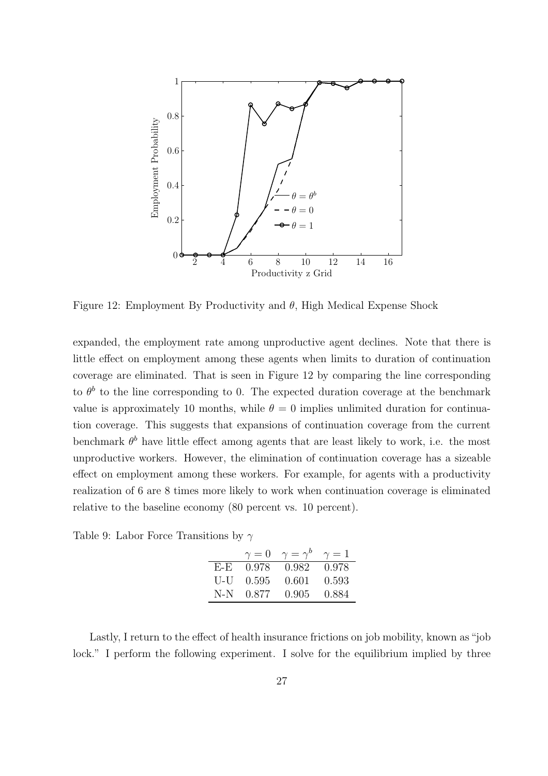

Figure 12: Employment By Productivity and  $\theta$ , High Medical Expense Shock

expanded, the employment rate among unproductive agent declines. Note that there is little effect on employment among these agents when limits to duration of continuation coverage are eliminated. That is seen in Figure 12 by comparing the line corresponding to  $\theta^b$  to the line corresponding to 0. The expected duration coverage at the benchmark value is approximately 10 months, while  $\theta = 0$  implies unlimited duration for continuation coverage. This suggests that expansions of continuation coverage from the current benchmark  $\theta^b$  have little effect among agents that are least likely to work, i.e. the most unproductive workers. However, the elimination of continuation coverage has a sizeable effect on employment among these workers. For example, for agents with a productivity realization of 6 are 8 times more likely to work when continuation coverage is eliminated relative to the baseline economy (80 percent vs. 10 percent).

Table 9: Labor Force Transitions by  $\gamma$ 

|     | $\gamma=0$ | $\gamma = \gamma^b$ | $\gamma=1$ |
|-----|------------|---------------------|------------|
| F-E | 0.978      | 0.982               | 0.978      |
| U-U | 0.595      | 0.601               | 0.593      |
| N-N | 0.877      | 0.905               | 0.884      |

Lastly, I return to the effect of health insurance frictions on job mobility, known as "job lock." I perform the following experiment. I solve for the equilibrium implied by three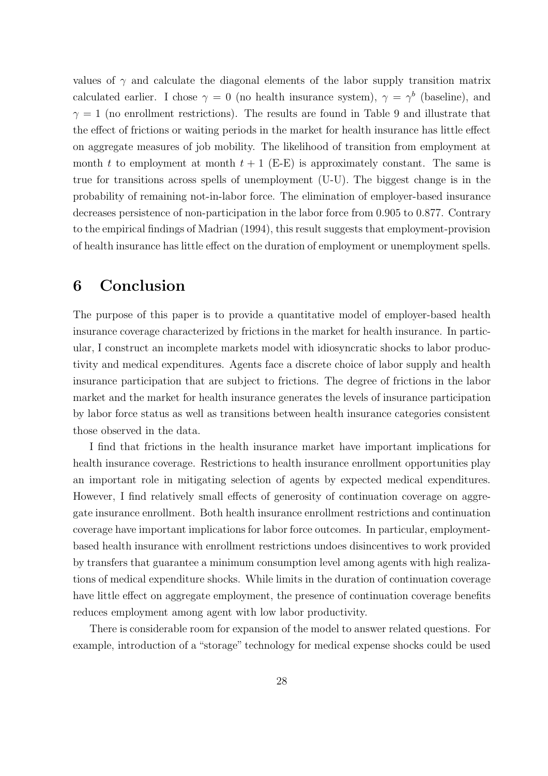values of  $\gamma$  and calculate the diagonal elements of the labor supply transition matrix calculated earlier. I chose  $\gamma = 0$  (no health insurance system),  $\gamma = \gamma^b$  (baseline), and  $\gamma = 1$  (no enrollment restrictions). The results are found in Table 9 and illustrate that the effect of frictions or waiting periods in the market for health insurance has little effect on aggregate measures of job mobility. The likelihood of transition from employment at month t to employment at month  $t + 1$  (E-E) is approximately constant. The same is true for transitions across spells of unemployment (U-U). The biggest change is in the probability of remaining not-in-labor force. The elimination of employer-based insurance decreases persistence of non-participation in the labor force from 0.905 to 0.877. Contrary to the empirical findings of Madrian (1994), this result suggests that employment-provision of health insurance has little effect on the duration of employment or unemployment spells.

# 6 Conclusion

The purpose of this paper is to provide a quantitative model of employer-based health insurance coverage characterized by frictions in the market for health insurance. In particular, I construct an incomplete markets model with idiosyncratic shocks to labor productivity and medical expenditures. Agents face a discrete choice of labor supply and health insurance participation that are subject to frictions. The degree of frictions in the labor market and the market for health insurance generates the levels of insurance participation by labor force status as well as transitions between health insurance categories consistent those observed in the data.

I find that frictions in the health insurance market have important implications for health insurance coverage. Restrictions to health insurance enrollment opportunities play an important role in mitigating selection of agents by expected medical expenditures. However, I find relatively small effects of generosity of continuation coverage on aggregate insurance enrollment. Both health insurance enrollment restrictions and continuation coverage have important implications for labor force outcomes. In particular, employmentbased health insurance with enrollment restrictions undoes disincentives to work provided by transfers that guarantee a minimum consumption level among agents with high realizations of medical expenditure shocks. While limits in the duration of continuation coverage have little effect on aggregate employment, the presence of continuation coverage benefits reduces employment among agent with low labor productivity.

There is considerable room for expansion of the model to answer related questions. For example, introduction of a "storage" technology for medical expense shocks could be used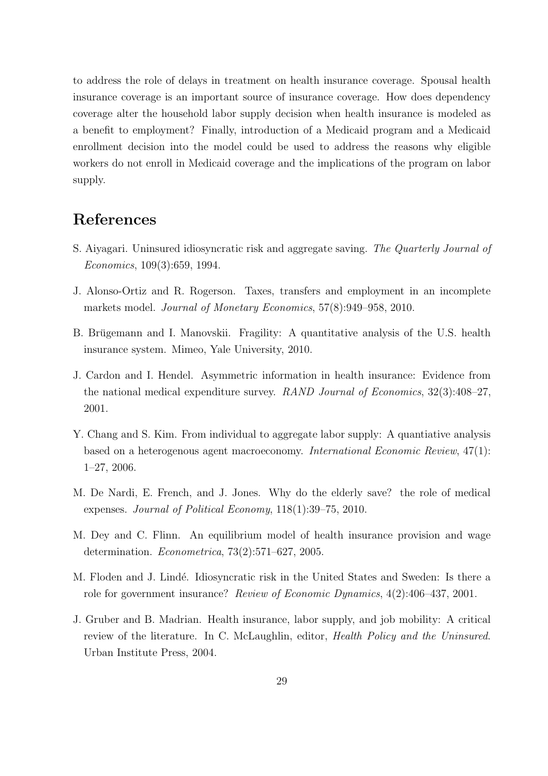to address the role of delays in treatment on health insurance coverage. Spousal health insurance coverage is an important source of insurance coverage. How does dependency coverage alter the household labor supply decision when health insurance is modeled as a benefit to employment? Finally, introduction of a Medicaid program and a Medicaid enrollment decision into the model could be used to address the reasons why eligible workers do not enroll in Medicaid coverage and the implications of the program on labor supply.

# References

- S. Aiyagari. Uninsured idiosyncratic risk and aggregate saving. The Quarterly Journal of Economics, 109(3):659, 1994.
- J. Alonso-Ortiz and R. Rogerson. Taxes, transfers and employment in an incomplete markets model. Journal of Monetary Economics, 57(8):949–958, 2010.
- B. Brügemann and I. Manovskii. Fragility: A quantitative analysis of the U.S. health insurance system. Mimeo, Yale University, 2010.
- J. Cardon and I. Hendel. Asymmetric information in health insurance: Evidence from the national medical expenditure survey. RAND Journal of Economics, 32(3):408-27, 2001.
- Y. Chang and S. Kim. From individual to aggregate labor supply: A quantiative analysis based on a heterogenous agent macroeconomy. International Economic Review, 47(1): 1–27, 2006.
- M. De Nardi, E. French, and J. Jones. Why do the elderly save? the role of medical expenses. Journal of Political Economy, 118(1):39–75, 2010.
- M. Dey and C. Flinn. An equilibrium model of health insurance provision and wage determination. Econometrica, 73(2):571–627, 2005.
- M. Floden and J. Lindé. Idiosyncratic risk in the United States and Sweden: Is there a role for government insurance? Review of Economic Dynamics, 4(2):406–437, 2001.
- J. Gruber and B. Madrian. Health insurance, labor supply, and job mobility: A critical review of the literature. In C. McLaughlin, editor, Health Policy and the Uninsured. Urban Institute Press, 2004.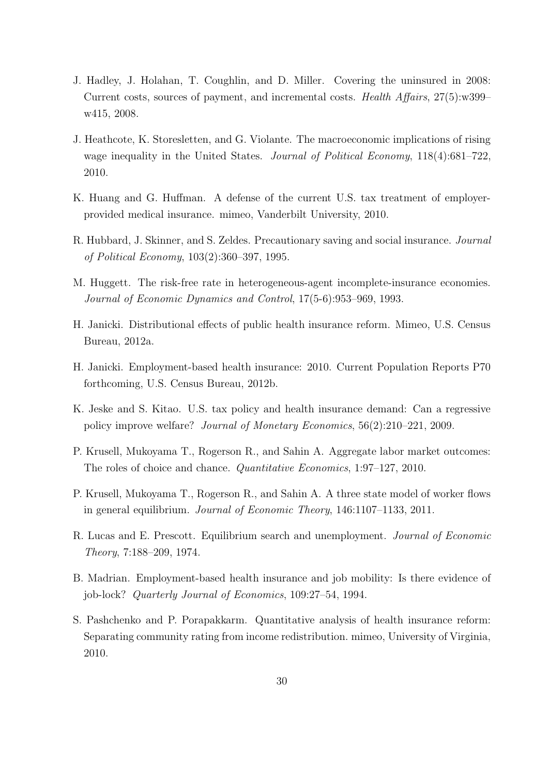- J. Hadley, J. Holahan, T. Coughlin, and D. Miller. Covering the uninsured in 2008: Current costs, sources of payment, and incremental costs. Health Affairs, 27(5):w399– w415, 2008.
- J. Heathcote, K. Storesletten, and G. Violante. The macroeconomic implications of rising wage inequality in the United States. *Journal of Political Economy*, 118(4):681–722, 2010.
- K. Huang and G. Huffman. A defense of the current U.S. tax treatment of employerprovided medical insurance. mimeo, Vanderbilt University, 2010.
- R. Hubbard, J. Skinner, and S. Zeldes. Precautionary saving and social insurance. Journal of Political Economy, 103(2):360–397, 1995.
- M. Huggett. The risk-free rate in heterogeneous-agent incomplete-insurance economies. Journal of Economic Dynamics and Control, 17(5-6):953–969, 1993.
- H. Janicki. Distributional effects of public health insurance reform. Mimeo, U.S. Census Bureau, 2012a.
- H. Janicki. Employment-based health insurance: 2010. Current Population Reports P70 forthcoming, U.S. Census Bureau, 2012b.
- K. Jeske and S. Kitao. U.S. tax policy and health insurance demand: Can a regressive policy improve welfare? Journal of Monetary Economics, 56(2):210–221, 2009.
- P. Krusell, Mukoyama T., Rogerson R., and Sahin A. Aggregate labor market outcomes: The roles of choice and chance. Quantitative Economics, 1:97–127, 2010.
- P. Krusell, Mukoyama T., Rogerson R., and Sahin A. A three state model of worker flows in general equilibrium. Journal of Economic Theory, 146:1107–1133, 2011.
- R. Lucas and E. Prescott. Equilibrium search and unemployment. *Journal of Economic* Theory, 7:188–209, 1974.
- B. Madrian. Employment-based health insurance and job mobility: Is there evidence of job-lock? Quarterly Journal of Economics, 109:27–54, 1994.
- S. Pashchenko and P. Porapakkarm. Quantitative analysis of health insurance reform: Separating community rating from income redistribution. mimeo, University of Virginia, 2010.